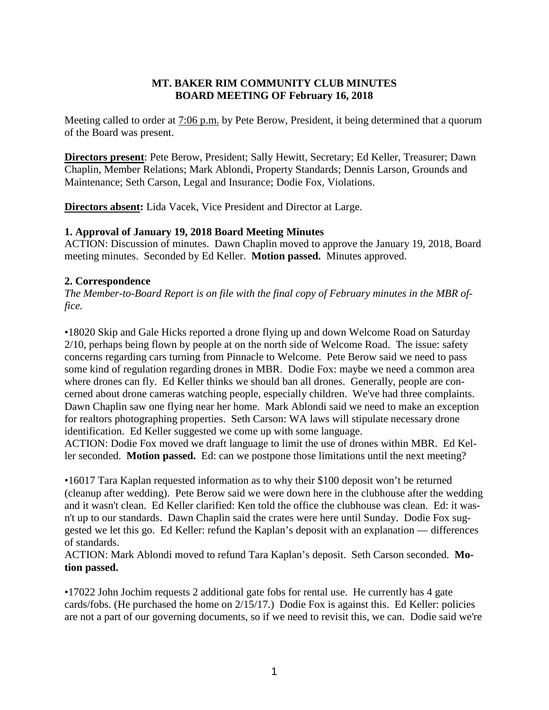## **MT. BAKER RIM COMMUNITY CLUB MINUTES BOARD MEETING OF February 16, 2018**

Meeting called to order at 7:06 p.m. by Pete Berow, President, it being determined that a quorum of the Board was present.

**Directors present**: Pete Berow, President; Sally Hewitt, Secretary; Ed Keller, Treasurer; Dawn Chaplin, Member Relations; Mark Ablondi, Property Standards; Dennis Larson, Grounds and Maintenance; Seth Carson, Legal and Insurance; Dodie Fox, Violations.

**Directors absent:** Lida Vacek, Vice President and Director at Large.

### **1. Approval of January 19, 2018 Board Meeting Minutes**

ACTION: Discussion of minutes. Dawn Chaplin moved to approve the January 19, 2018, Board meeting minutes. Seconded by Ed Keller. **Motion passed.** Minutes approved.

### **2. Correspondence**

*The Member-to-Board Report is on file with the final copy of February minutes in the MBR office.*

•18020 Skip and Gale Hicks reported a drone flying up and down Welcome Road on Saturday 2/10, perhaps being flown by people at on the north side of Welcome Road. The issue: safety concerns regarding cars turning from Pinnacle to Welcome. Pete Berow said we need to pass some kind of regulation regarding drones in MBR. Dodie Fox: maybe we need a common area where drones can fly. Ed Keller thinks we should ban all drones. Generally, people are concerned about drone cameras watching people, especially children. We've had three complaints. Dawn Chaplin saw one flying near her home. Mark Ablondi said we need to make an exception for realtors photographing properties. Seth Carson: WA laws will stipulate necessary drone identification. Ed Keller suggested we come up with some language.

ACTION: Dodie Fox moved we draft language to limit the use of drones within MBR. Ed Keller seconded. **Motion passed.** Ed: can we postpone those limitations until the next meeting?

•16017 Tara Kaplan requested information as to why their \$100 deposit won't be returned (cleanup after wedding). Pete Berow said we were down here in the clubhouse after the wedding and it wasn't clean. Ed Keller clarified: Ken told the office the clubhouse was clean. Ed: it wasn't up to our standards. Dawn Chaplin said the crates were here until Sunday. Dodie Fox suggested we let this go. Ed Keller: refund the Kaplan's deposit with an explanation — differences of standards.

ACTION: Mark Ablondi moved to refund Tara Kaplan's deposit. Seth Carson seconded. **Motion passed.**

•17022 John Jochim requests 2 additional gate fobs for rental use. He currently has 4 gate cards/fobs. (He purchased the home on 2/15/17.) Dodie Fox is against this. Ed Keller: policies are not a part of our governing documents, so if we need to revisit this, we can. Dodie said we're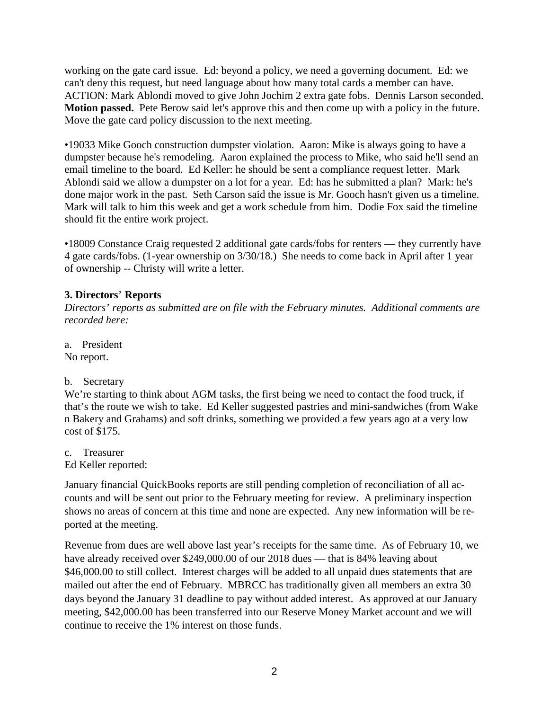working on the gate card issue. Ed: beyond a policy, we need a governing document. Ed: we can't deny this request, but need language about how many total cards a member can have. ACTION: Mark Ablondi moved to give John Jochim 2 extra gate fobs. Dennis Larson seconded. **Motion passed.** Pete Berow said let's approve this and then come up with a policy in the future. Move the gate card policy discussion to the next meeting.

•19033 Mike Gooch construction dumpster violation. Aaron: Mike is always going to have a dumpster because he's remodeling. Aaron explained the process to Mike, who said he'll send an email timeline to the board. Ed Keller: he should be sent a compliance request letter. Mark Ablondi said we allow a dumpster on a lot for a year. Ed: has he submitted a plan? Mark: he's done major work in the past. Seth Carson said the issue is Mr. Gooch hasn't given us a timeline. Mark will talk to him this week and get a work schedule from him. Dodie Fox said the timeline should fit the entire work project.

•18009 Constance Craig requested 2 additional gate cards/fobs for renters — they currently have 4 gate cards/fobs. (1-year ownership on 3/30/18.) She needs to come back in April after 1 year of ownership -- Christy will write a letter.

## **3. Directors**' **Reports**

*Directors' reports as submitted are on file with the February minutes. Additional comments are recorded here:*

a. President No report.

# b. Secretary

We're starting to think about AGM tasks, the first being we need to contact the food truck, if that's the route we wish to take. Ed Keller suggested pastries and mini-sandwiches (from Wake n Bakery and Grahams) and soft drinks, something we provided a few years ago at a very low cost of \$175.

c. Treasurer

Ed Keller reported:

January financial QuickBooks reports are still pending completion of reconciliation of all accounts and will be sent out prior to the February meeting for review. A preliminary inspection shows no areas of concern at this time and none are expected. Any new information will be reported at the meeting.

Revenue from dues are well above last year's receipts for the same time. As of February 10, we have already received over \$249,000.00 of our 2018 dues — that is 84% leaving about \$46,000.00 to still collect. Interest charges will be added to all unpaid dues statements that are mailed out after the end of February. MBRCC has traditionally given all members an extra 30 days beyond the January 31 deadline to pay without added interest. As approved at our January meeting, \$42,000.00 has been transferred into our Reserve Money Market account and we will continue to receive the 1% interest on those funds.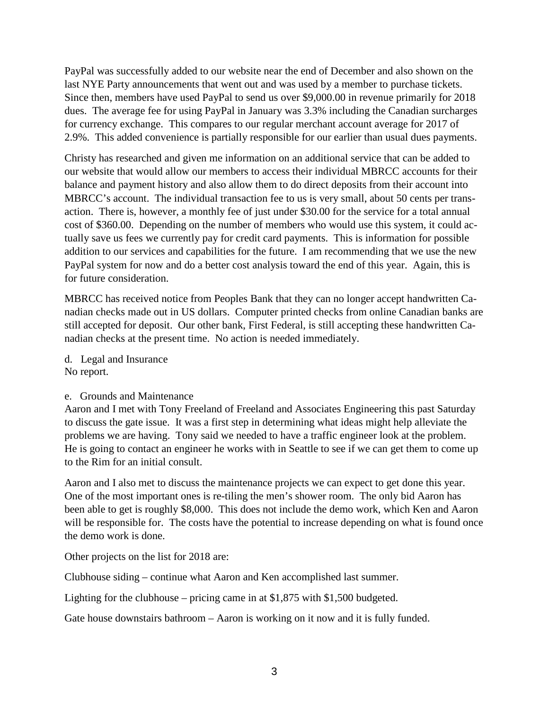PayPal was successfully added to our website near the end of December and also shown on the last NYE Party announcements that went out and was used by a member to purchase tickets. Since then, members have used PayPal to send us over \$9,000.00 in revenue primarily for 2018 dues. The average fee for using PayPal in January was 3.3% including the Canadian surcharges for currency exchange. This compares to our regular merchant account average for 2017 of 2.9%. This added convenience is partially responsible for our earlier than usual dues payments.

Christy has researched and given me information on an additional service that can be added to our website that would allow our members to access their individual MBRCC accounts for their balance and payment history and also allow them to do direct deposits from their account into MBRCC's account. The individual transaction fee to us is very small, about 50 cents per transaction. There is, however, a monthly fee of just under \$30.00 for the service for a total annual cost of \$360.00. Depending on the number of members who would use this system, it could actually save us fees we currently pay for credit card payments. This is information for possible addition to our services and capabilities for the future. I am recommending that we use the new PayPal system for now and do a better cost analysis toward the end of this year. Again, this is for future consideration.

MBRCC has received notice from Peoples Bank that they can no longer accept handwritten Canadian checks made out in US dollars. Computer printed checks from online Canadian banks are still accepted for deposit. Our other bank, First Federal, is still accepting these handwritten Canadian checks at the present time. No action is needed immediately.

d. Legal and Insurance No report.

#### e. Grounds and Maintenance

Aaron and I met with Tony Freeland of Freeland and Associates Engineering this past Saturday to discuss the gate issue. It was a first step in determining what ideas might help alleviate the problems we are having. Tony said we needed to have a traffic engineer look at the problem. He is going to contact an engineer he works with in Seattle to see if we can get them to come up to the Rim for an initial consult.

Aaron and I also met to discuss the maintenance projects we can expect to get done this year. One of the most important ones is re-tiling the men's shower room. The only bid Aaron has been able to get is roughly \$8,000. This does not include the demo work, which Ken and Aaron will be responsible for. The costs have the potential to increase depending on what is found once the demo work is done.

Other projects on the list for 2018 are:

Clubhouse siding – continue what Aaron and Ken accomplished last summer.

Lighting for the clubhouse – pricing came in at \$1,875 with \$1,500 budgeted.

Gate house downstairs bathroom – Aaron is working on it now and it is fully funded.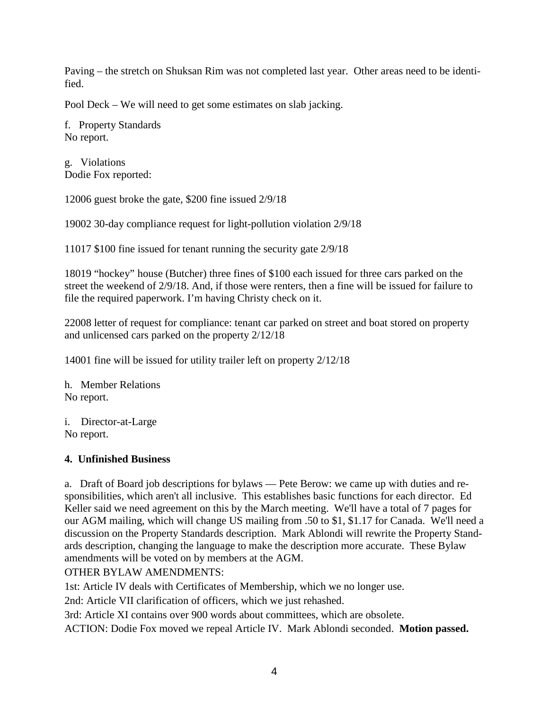Paving – the stretch on Shuksan Rim was not completed last year. Other areas need to be identified.

Pool Deck – We will need to get some estimates on slab jacking.

f. Property Standards No report.

g. Violations Dodie Fox reported:

12006 guest broke the gate, \$200 fine issued 2/9/18

19002 30-day compliance request for light-pollution violation 2/9/18

11017 \$100 fine issued for tenant running the security gate 2/9/18

18019 "hockey" house (Butcher) three fines of \$100 each issued for three cars parked on the street the weekend of 2/9/18. And, if those were renters, then a fine will be issued for failure to file the required paperwork. I'm having Christy check on it.

22008 letter of request for compliance: tenant car parked on street and boat stored on property and unlicensed cars parked on the property 2/12/18

14001 fine will be issued for utility trailer left on property 2/12/18

h. Member Relations No report.

i. Director-at-Large No report.

#### **4. Unfinished Business**

a. Draft of Board job descriptions for bylaws — Pete Berow: we came up with duties and responsibilities, which aren't all inclusive. This establishes basic functions for each director. Ed Keller said we need agreement on this by the March meeting. We'll have a total of 7 pages for our AGM mailing, which will change US mailing from .50 to \$1, \$1.17 for Canada. We'll need a discussion on the Property Standards description. Mark Ablondi will rewrite the Property Standards description, changing the language to make the description more accurate. These Bylaw amendments will be voted on by members at the AGM.

OTHER BYLAW AMENDMENTS:

1st: Article IV deals with Certificates of Membership, which we no longer use.

2nd: Article VII clarification of officers, which we just rehashed.

3rd: Article XI contains over 900 words about committees, which are obsolete.

ACTION: Dodie Fox moved we repeal Article IV. Mark Ablondi seconded. **Motion passed.**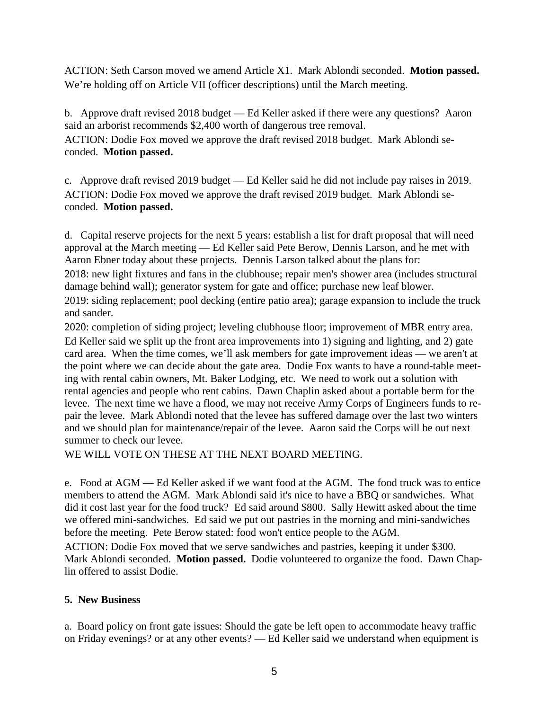ACTION: Seth Carson moved we amend Article X1. Mark Ablondi seconded. **Motion passed.** We're holding off on Article VII (officer descriptions) until the March meeting.

b. Approve draft revised 2018 budget — Ed Keller asked if there were any questions? Aaron said an arborist recommends \$2,400 worth of dangerous tree removal.

ACTION: Dodie Fox moved we approve the draft revised 2018 budget. Mark Ablondi seconded. **Motion passed.**

c. Approve draft revised 2019 budget — Ed Keller said he did not include pay raises in 2019. ACTION: Dodie Fox moved we approve the draft revised 2019 budget. Mark Ablondi seconded. **Motion passed.**

d. Capital reserve projects for the next 5 years: establish a list for draft proposal that will need approval at the March meeting — Ed Keller said Pete Berow, Dennis Larson, and he met with Aaron Ebner today about these projects. Dennis Larson talked about the plans for:

2018: new light fixtures and fans in the clubhouse; repair men's shower area (includes structural damage behind wall); generator system for gate and office; purchase new leaf blower.

2019: siding replacement; pool decking (entire patio area); garage expansion to include the truck and sander.

2020: completion of siding project; leveling clubhouse floor; improvement of MBR entry area. Ed Keller said we split up the front area improvements into 1) signing and lighting, and 2) gate card area. When the time comes, we'll ask members for gate improvement ideas — we aren't at the point where we can decide about the gate area. Dodie Fox wants to have a round-table meeting with rental cabin owners, Mt. Baker Lodging, etc. We need to work out a solution with rental agencies and people who rent cabins. Dawn Chaplin asked about a portable berm for the levee. The next time we have a flood, we may not receive Army Corps of Engineers funds to repair the levee. Mark Ablondi noted that the levee has suffered damage over the last two winters and we should plan for maintenance/repair of the levee. Aaron said the Corps will be out next summer to check our levee.

WE WILL VOTE ON THESE AT THE NEXT BOARD MEETING.

e. Food at AGM — Ed Keller asked if we want food at the AGM. The food truck was to entice members to attend the AGM. Mark Ablondi said it's nice to have a BBQ or sandwiches. What did it cost last year for the food truck? Ed said around \$800. Sally Hewitt asked about the time we offered mini-sandwiches. Ed said we put out pastries in the morning and mini-sandwiches before the meeting. Pete Berow stated: food won't entice people to the AGM.

ACTION: Dodie Fox moved that we serve sandwiches and pastries, keeping it under \$300. Mark Ablondi seconded. **Motion passed.** Dodie volunteered to organize the food. Dawn Chaplin offered to assist Dodie.

# **5. New Business**

a. Board policy on front gate issues: Should the gate be left open to accommodate heavy traffic on Friday evenings? or at any other events? — Ed Keller said we understand when equipment is